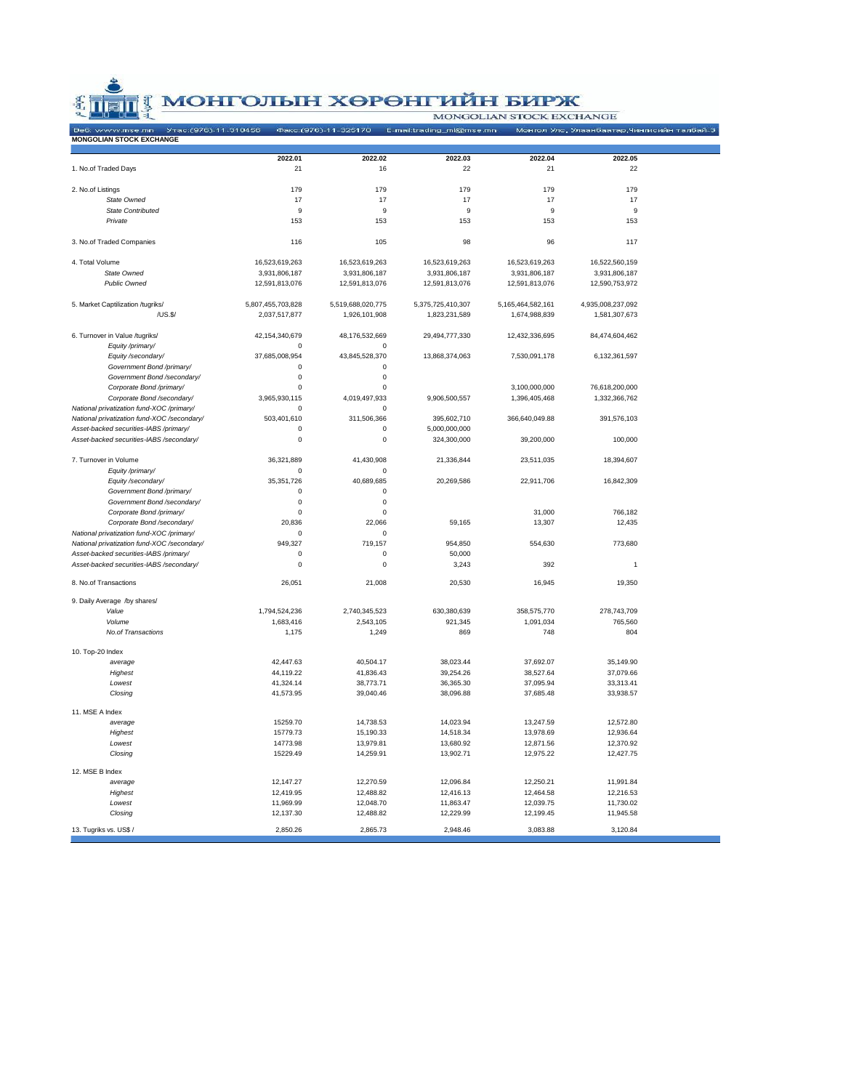**ENDER SOPHET AND MONOGOLIAN STOCK EXCHANGE OF A MONOGOLIAN STOCK EXCHANGE OF A MONOGOLIAN STOCK EXCHANGEMENT** 

|  |  |  | MONGOLIAN STOCK EXCHANGE |
|--|--|--|--------------------------|

| <b>MONGOLIAN STOCK EXCHANGE</b>             |                   | Факс: (976)-11-325170 | E-mail:trading_ml@mse.mn |                   | Монгол Улс, Улаанбаатар,Чингисийн талбай-3 |  |
|---------------------------------------------|-------------------|-----------------------|--------------------------|-------------------|--------------------------------------------|--|
|                                             |                   |                       |                          |                   |                                            |  |
|                                             | 2022.01           | 2022.02               | 2022.03                  | 2022.04           | 2022.05                                    |  |
| 1. No.of Traded Days                        | 21                | 16                    | 22                       | 21                | 22                                         |  |
|                                             |                   |                       |                          |                   |                                            |  |
| 2. No.of Listings<br>State Owned            | 179<br>17         | 179<br>17             | 179<br>17                | 179<br>17         | 179<br>17                                  |  |
| State Contributed                           | q                 | q                     | 9                        | 9                 | 9                                          |  |
| Private                                     | 153               | 153                   | 153                      | 153               | 153                                        |  |
|                                             |                   |                       |                          |                   |                                            |  |
| 3. No.of Traded Companies                   | 116               | 105                   | 98                       | 96                | 117                                        |  |
| 4. Total Volume                             | 16,523,619,263    | 16,523,619,263        | 16,523,619,263           | 16,523,619,263    | 16,522,560,159                             |  |
| State Owned                                 | 3,931,806,187     | 3,931,806,187         | 3,931,806,187            | 3,931,806,187     | 3,931,806,187                              |  |
| Public Owned                                | 12,591,813,076    | 12,591,813,076        | 12,591,813,076           | 12,591,813,076    | 12,590,753,972                             |  |
|                                             |                   |                       |                          |                   |                                            |  |
| 5. Market Captilization /tugriks/           | 5,807,455,703,828 | 5,519,688,020,775     | 5,375,725,410,307        | 5,165,464,582,161 | 4,935,008,237,092                          |  |
| /US.S/                                      | 2,037,517,877     | 1,926,101,908         | 1,823,231,589            | 1,674,988,839     | 1,581,307,673                              |  |
| 6. Turnover in Value /tugriks/              | 42,154,340,679    | 48,176,532,669        | 29,494,777,330           | 12,432,336,695    | 84,474,604,462                             |  |
| Equity /primary/                            | $\Omega$          | $\Omega$              |                          |                   |                                            |  |
| Equity /secondary/                          | 37,685,008,954    | 43,845,528,370        | 13,868,374,063           | 7,530,091,178     | 6,132,361,597                              |  |
| Government Bond /primary/                   | $\pmb{0}$         | $\pmb{0}$             |                          |                   |                                            |  |
| Government Bond /secondary/                 | $\mathbf 0$       | 0                     |                          |                   |                                            |  |
| Corporate Bond /primary/                    | 0                 | 0                     |                          | 3,100,000,000     | 76,618,200,000                             |  |
| Corporate Bond /secondary/                  | 3,965,930,115     | 4,019,497,933         | 9,906,500,557            | 1,396,405,468     | 1,332,366,762                              |  |
| National privatization fund-XOC /primary/   | $\mathbf 0$       | 0                     |                          |                   |                                            |  |
| National privatization fund-XOC /secondary/ | 503,401,610       | 311,506,366           | 395,602,710              | 366,640,049.88    | 391,576,103                                |  |
| Asset-backed securities-IABS /primary/      | $\mathbf 0$       | 0                     | 5,000,000,000            |                   |                                            |  |
| Asset-backed securities-IABS /secondary/    | $\mathsf 0$       | $\pmb{0}$             | 324,300,000              | 39,200,000        | 100,000                                    |  |
| 7. Turnover in Volume                       | 36,321,889        | 41,430,908            | 21,336,844               | 23,511,035        | 18,394,607                                 |  |
| Equity /primary/                            | $\Omega$          | $\Omega$              |                          |                   |                                            |  |
| Equity /secondary/                          | 35,351,726        | 40,689,685            | 20,269,586               | 22,911,706        | 16,842,309                                 |  |
| Government Bond /primary/                   | $\pmb{0}$         | $\pmb{0}$             |                          |                   |                                            |  |
| Government Bond /secondary/                 | $\mathbf 0$       | $\mathbf 0$           |                          |                   |                                            |  |
| Corporate Bond /primary/                    | 0                 | 0                     |                          | 31,000            | 766,182                                    |  |
| Corporate Bond /secondary/                  | 20,836            | 22,066                | 59,165                   | 13,307            | 12,435                                     |  |
| National privatization fund-XOC /primary/   | $\Omega$          | $\Omega$              |                          |                   |                                            |  |
| National privatization fund-XOC /secondary/ | 949,327           | 719,157               | 954,850                  | 554,630           | 773,680                                    |  |
| Asset-backed securities-IABS /primary/      | $\mathbf 0$       | $\pmb{0}$             | 50,000                   |                   |                                            |  |
| Asset-backed securities-IABS /secondary/    | $\mathbf 0$       | $\pmb{0}$             | 3,243                    | 392               | $\overline{1}$                             |  |
| 8. No.of Transactions                       | 26,051            | 21,008                | 20,530                   | 16,945            | 19,350                                     |  |
| 9. Daily Average /by shares/                |                   |                       |                          |                   |                                            |  |
| Value                                       | 1,794,524,236     | 2,740,345,523         | 630,380,639              | 358,575,770       | 278,743,709                                |  |
| Volume                                      | 1,683,416         | 2,543,105             | 921,345                  | 1,091,034         | 765,560                                    |  |
| No.of Transactions                          | 1,175             | 1,249                 | 869                      | 748               | 804                                        |  |
| 10. Top-20 Index                            |                   |                       |                          |                   |                                            |  |
| average                                     | 42,447.63         | 40,504.17             | 38,023.44                | 37,692.07         | 35,149.90                                  |  |
| Highest                                     | 44,119.22         | 41,836.43             | 39,254.26                | 38,527.64         | 37,079.66                                  |  |
| Lowest                                      | 41,324.14         | 38,773.71             | 36,365.30                | 37,095.94         | 33,313.41                                  |  |
| Closing                                     | 41,573.95         | 39,040.46             | 38,096.88                | 37,685.48         | 33,938.57                                  |  |
|                                             |                   |                       |                          |                   |                                            |  |
| 11. MSE A Index                             |                   |                       |                          |                   |                                            |  |
| average                                     | 15259.70          | 14,738.53             | 14,023.94                | 13,247.59         | 12,572.80                                  |  |
| Highest                                     | 15779.73          | 15,190.33             | 14,518.34                | 13,978.69         | 12,936.64                                  |  |
| Lowest                                      | 14773.98          | 13,979.81             | 13,680.92                | 12,871.56         | 12,370.92                                  |  |
| Closing                                     | 15229.49          | 14,259.91             | 13,902.71                | 12,975.22         | 12,427.75                                  |  |
| 12. MSE B Index                             |                   |                       |                          |                   |                                            |  |
| average                                     | 12,147.27         | 12,270.59             | 12,096.84                | 12,250.21         | 11,991.84                                  |  |
| Highest                                     | 12,419.95         | 12,488.82             | 12,416.13                | 12,464.58         | 12,216.53                                  |  |
| Lowest                                      | 11,969.99         | 12,048.70             | 11,863.47                | 12,039.75         | 11,730.02                                  |  |
| Closing                                     | 12,137.30         | 12,488.82             | 12,229.99                | 12,199.45         | 11,945.58                                  |  |
| 13. Tugriks vs. US\$ /                      | 2,850.26          | 2,865.73              | 2,948.46                 | 3,083.88          | 3,120.84                                   |  |